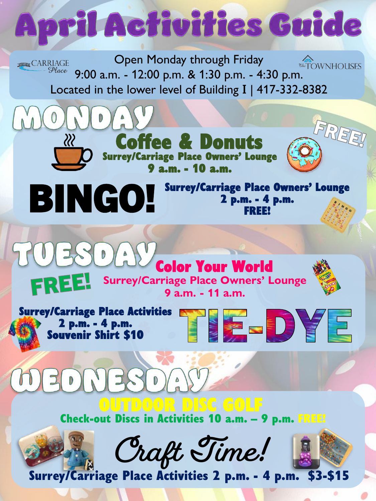